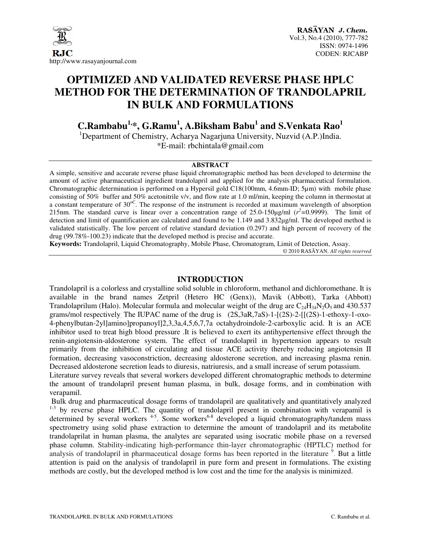

# **OPTIMIZED AND VALIDATED REVERSE PHASE HPLC METHOD FOR THE DETERMINATION OF TRANDOLAPRIL IN BULK AND FORMULATIONS**

**C.Rambabu1,\*, G.Ramu<sup>1</sup> , A.Biksham Babu<sup>1</sup> and S.Venkata Rao<sup>1</sup>**

<sup>1</sup>Department of Chemistry, Acharya Nagarjuna University, Nuzvid (A.P.)India. \*E-mail: rbchintala@gmail.com

#### **ABSTRACT**

A simple, sensitive and accurate reverse phase liquid chromatographic method has been developed to determine the amount of active pharmaceutical ingredient trandolapril and applied for the analysis pharmaceutical formulation. Chromatographic determination is performed on a Hypersil gold C18(100mm, 4.6mm-ID; 5µm) with mobile phase consisting of 50% buffer and 50% acetonitrile v/v, and flow rate at 1.0 ml/min, keeping the column in thermostat at a constant temperature of 30<sup>oC</sup>. The response of the instrument is recorded at maximum wavelength of absorption 215nm. The standard curve is linear over a concentration range of  $25.0$ -150 $\mu$ g/ml ( $r^2$ =0.9999). The limit of detection and limit of quantification are calculated and found to be 1.149 and 3.832µg/ml. The developed method is validated statistically. The low percent of relative standard deviation (0.297) and high percent of recovery of the drug (99.78%-100.23) indicate that the developed method is precise and accurate.

**Keywords:** Trandolapril, Liquid Chromatography, Mobile Phase, Chromatogram, Limit of Detection, Assay.

#### **INTRODUCTION**

Trandolapril is a colorless and crystalline solid soluble in chloroform, methanol and dichloromethane. It is available in the brand names Zetpril (Hetero HC (Genx)), Mavik (Abbott), Tarka (Abbott) Trandolaprilum (Halo). Molecular formula and molecular weight of the drug are  $C_{24}H_{34}N_2O_5$  and 430.537 grams/mol respectively. The IUPAC name of the drug is (2S,3aR,7aS)-1-[(2S)-2-[[(2S)-1-ethoxy-1-oxo-4-phenylbutan-2yl]amino]propanoyl]2,3,3a,4,5,6,7,7a octahydroindole-2-carboxylic acid. It is an ACE inhibitor used to treat high blood pressure .It is believed to exert its antihypertensive effect through the renin-angiotensin-aldosterone system. The effect of trandolapril in hypertension appears to result primarily from the inhibition of circulating and tissue ACE activity thereby reducing angiotensin II formation, decreasing vasoconstriction, decreasing aldosterone secretion, and increasing plasma renin. Decreased aldosterone secretion leads to diuresis, natriuresis, and a small increase of serum potassium.

Literature survey reveals that several workers developed different chromatographic methods to determine the amount of trandolapril present human plasma, in bulk, dosage forms, and in combination with verapamil.

 Bulk drug and pharmaceutical dosage forms of trandolapril are qualitatively and quantitatively analyzed <sup>1-3</sup> by reverse phase HPLC. The quantity of trandolapril present in combination with verapamil is determined by several workers  $4-5$ . Some workers  $6-8$  developed a liquid chromatography/tandem mass spectrometry using solid phase extraction to determine the amount of trandolapril and its metabolite trandolaprilat in human plasma, the analytes are separated using isocratic mobile phase on a reversed phase column. Stability-indicating high-performance thin-layer chromatographic (HPTLC) method for analysis of trandolapril in pharmaceutical dosage forms has been reported in the literature<sup>9</sup>. But a little attention is paid on the analysis of trandolapril in pure form and present in formulations. The existing methods are costly, but the developed method is low cost and the time for the analysis is minimized.

<sup>© 2010</sup> RASĀYAN. *All rights reserved*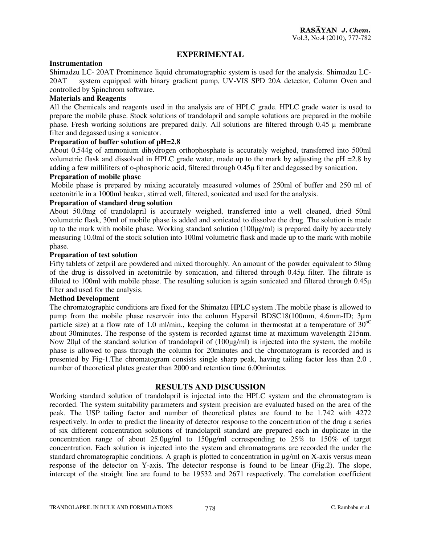## **EXPERIMENTAL**

#### **Instrumentation**

Shimadzu LC- 20AT Prominence liquid chromatographic system is used for the analysis. Shimadzu LC-20AT system equipped with binary gradient pump, UV-VIS SPD 20A detector, Column Oven and controlled by Spinchrom software.

## **Materials and Reagents**

All the Chemicals and reagents used in the analysis are of HPLC grade. HPLC grade water is used to prepare the mobile phase. Stock solutions of trandolapril and sample solutions are prepared in the mobile phase. Fresh working solutions are prepared daily. All solutions are filtered through 0.45 µ membrane filter and degassed using a sonicator.

#### **Preparation of buffer solution of pH=2.8**

About 0.544g of ammonium dihydrogen orthophosphate is accurately weighed, transferred into 500ml volumetric flask and dissolved in HPLC grade water, made up to the mark by adjusting the pH =2.8 by adding a few milliliters of o-phosphoric acid, filtered through 0.45µ filter and degassed by sonication.

#### **Preparation of mobile phase**

Mobile phase is prepared by mixing accurately measured volumes of 250ml of buffer and 250 ml of acetonitrile in a 1000ml beaker, stirred well, filtered, sonicated and used for the analysis.

#### **Preparation of standard drug solution**

About 50.0mg of trandolapril is accurately weighed, transferred into a well cleaned, dried 50ml volumetric flask, 30ml of mobile phase is added and sonicated to dissolve the drug. The solution is made up to the mark with mobile phase. Working standard solution (100µg/ml) is prepared daily by accurately measuring 10.0ml of the stock solution into 100ml volumetric flask and made up to the mark with mobile phase.

#### **Preparation of test solution**

Fifty tablets of zetpril are powdered and mixed thoroughly. An amount of the powder equivalent to 50mg of the drug is dissolved in acetonitrile by sonication, and filtered through 0.45µ filter. The filtrate is diluted to 100ml with mobile phase. The resulting solution is again sonicated and filtered through 0.45µ filter and used for the analysis.

#### **Method Development**

The chromatographic conditions are fixed for the Shimatzu HPLC system .The mobile phase is allowed to pump from the mobile phase reservoir into the column Hypersil BDSC18(100mm, 4.6mm-ID; 3µm particle size) at a flow rate of 1.0 ml/min., keeping the column in thermostat at a temperature of  $30^{\circ\circ}$ about 30minutes. The response of the system is recorded against time at maximum wavelength 215nm. Now 20µl of the standard solution of trandolapril of (100µg/ml) is injected into the system, the mobile phase is allowed to pass through the column for 20minutes and the chromatogram is recorded and is presented by Fig-1.The chromatogram consists single sharp peak, having tailing factor less than 2.0 , number of theoretical plates greater than 2000 and retention time 6.00minutes.

## **RESULTS AND DISCUSSION**

Working standard solution of trandolapril is injected into the HPLC system and the chromatogram is recorded. The system suitability parameters and system precision are evaluated based on the area of the peak. The USP tailing factor and number of theoretical plates are found to be 1.742 with 4272 respectively. In order to predict the linearity of detector response to the concentration of the drug a series of six different concentration solutions of trandolapril standard are prepared each in duplicate in the concentration range of about 25.0µg/ml to 150µg/ml corresponding to 25% to 150% of target concentration. Each solution is injected into the system and chromatograms are recorded the under the standard chromatographic conditions. A graph is plotted to concentration in µg/ml on X-axis versus mean response of the detector on Y-axis. The detector response is found to be linear (Fig.2). The slope, intercept of the straight line are found to be 19532 and 2671 respectively. The correlation coefficient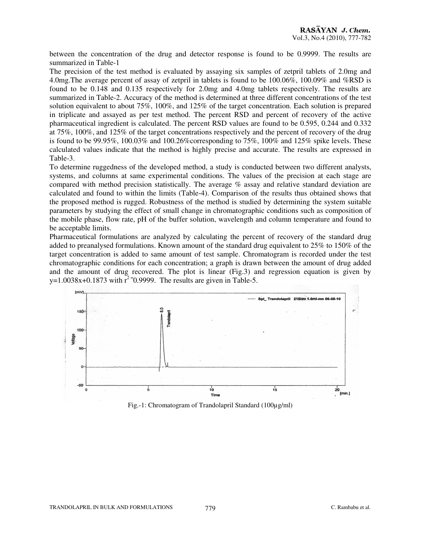between the concentration of the drug and detector response is found to be 0.9999. The results are summarized in Table-1

The precision of the test method is evaluated by assaying six samples of zetpril tablets of 2.0mg and 4.0mg.The average percent of assay of zetpril in tablets is found to be 100.06%, 100.09% and %RSD is found to be 0.148 and 0.135 respectively for 2.0mg and 4.0mg tablets respectively. The results are summarized in Table-2. Accuracy of the method is determined at three different concentrations of the test solution equivalent to about 75%, 100%, and 125% of the target concentration. Each solution is prepared in triplicate and assayed as per test method. The percent RSD and percent of recovery of the active pharmaceutical ingredient is calculated. The percent RSD values are found to be 0.595, 0.244 and 0.332 at 75%, 100%, and 125% of the target concentrations respectively and the percent of recovery of the drug is found to be 99.95%, 100.03% and 100.26%corresponding to 75%, 100% and 125% spike levels. These calculated values indicate that the method is highly precise and accurate. The results are expressed in Table-3.

To determine ruggedness of the developed method, a study is conducted between two different analysts, systems, and columns at same experimental conditions. The values of the precision at each stage are compared with method precision statistically. The average % assay and relative standard deviation are calculated and found to within the limits (Table-4). Comparison of the results thus obtained shows that the proposed method is rugged. Robustness of the method is studied by determining the system suitable parameters by studying the effect of small change in chromatographic conditions such as composition of the mobile phase, flow rate, pH of the buffer solution, wavelength and column temperature and found to be acceptable limits.

Pharmaceutical formulations are analyzed by calculating the percent of recovery of the standard drug added to preanalysed formulations. Known amount of the standard drug equivalent to 25% to 150% of the target concentration is added to same amount of test sample. Chromatogram is recorded under the test chromatographic conditions for each concentration; a graph is drawn between the amount of drug added and the amount of drug recovered. The plot is linear (Fig.3) and regression equation is given by y=1.0038x+0.1873 with  $r^2$ <sup>=</sup>0.9999. The results are given in Table-5.



Fig.-1: Chromatogram of Trandolapril Standard (100µg/ml)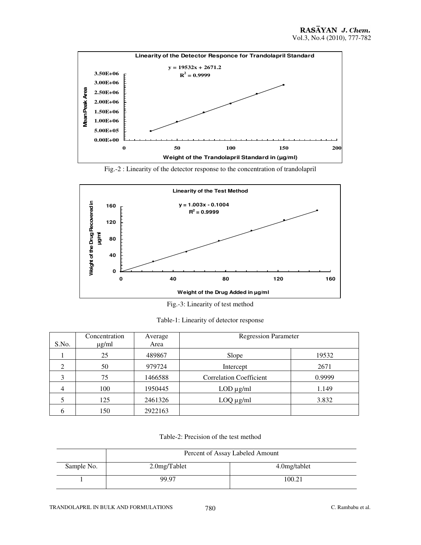

Fig.-2 : Linearity of the detector response to the concentration of trandolapril



Fig.-3: Linearity of test method

|  | Table-1: Linearity of detector response |
|--|-----------------------------------------|
|--|-----------------------------------------|

| S.No. | Concentration<br>$\mu$ g/ml | Average<br>Area | <b>Regression Parameter</b>    |        |
|-------|-----------------------------|-----------------|--------------------------------|--------|
|       | 25                          | 489867          | Slope                          | 19532  |
| 2     | 50                          | 979724          | Intercept                      | 2671   |
| 3     | 75                          | 1466588         | <b>Correlation Coefficient</b> | 0.9999 |
| 4     | 100                         | 1950445         | $LOD \mu g/ml$                 | 1.149  |
|       | 125                         | 2461326         | $LOQ \mu g/ml$                 | 3.832  |
|       | 150                         | 2922163         |                                |        |

Table-2: Precision of the test method

|            | Percent of Assay Labeled Amount |               |  |  |  |
|------------|---------------------------------|---------------|--|--|--|
| Sample No. | $2.0$ mg/Tablet                 | 4.0 mg/tablet |  |  |  |
|            | 99.97                           | 100.21        |  |  |  |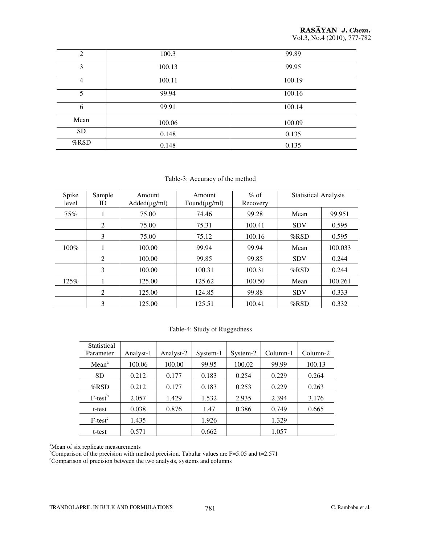| 2         | 100.3  | 99.89  |
|-----------|--------|--------|
| 3         | 100.13 | 99.95  |
| 4         | 100.11 | 100.19 |
| 5         | 99.94  | 100.16 |
| 6         | 99.91  | 100.14 |
| Mean      | 100.06 | 100.09 |
| <b>SD</b> | 0.148  | 0.135  |
| %RSD      | 0.148  | 0.135  |

Table-3: Accuracy of the method

| Spike<br>level | Sample<br>ID | Amount<br>$Added(\mu g/ml)$ | Amount<br>Found( $\mu$ g/ml) | $\%$ of<br>Recovery | <b>Statistical Analysis</b> |         |
|----------------|--------------|-----------------------------|------------------------------|---------------------|-----------------------------|---------|
| 75%            |              | 75.00                       | 74.46                        | 99.28               | Mean                        | 99.951  |
|                | 2            | 75.00                       | 75.31                        | 100.41              | <b>SDV</b>                  | 0.595   |
|                | 3            | 75.00                       | 75.12                        | 100.16              | $%$ RSD                     | 0.595   |
| $100\%$        |              | 100.00                      | 99.94                        | 99.94               | Mean                        | 100.033 |
|                | 2            | 100.00                      | 99.85                        | 99.85               | <b>SDV</b>                  | 0.244   |
|                | 3            | 100.00                      | 100.31                       | 100.31              | $%$ RSD                     | 0.244   |
| 125%           |              | 125.00                      | 125.62                       | 100.50              | Mean                        | 100.261 |
|                | 2            | 125.00                      | 124.85                       | 99.88               | <b>SDV</b>                  | 0.333   |
|                | 3            | 125.00                      | 125.51                       | 100.41              | $%$ RSD                     | 0.332   |

#### Table-4: Study of Ruggedness

| Statistical<br>Parameter | Analyst-1 | Analyst-2 | System-1 | System-2 | Column-1 | Column-2 |
|--------------------------|-----------|-----------|----------|----------|----------|----------|
| Mean <sup>a</sup>        | 100.06    | 100.00    | 99.95    | 100.02   | 99.99    | 100.13   |
| <b>SD</b>                | 0.212     | 0.177     | 0.183    | 0.254    | 0.229    | 0.264    |
| $%$ RSD                  | 0.212     | 0.177     | 0.183    | 0.253    | 0.229    | 0.263    |
| $F-test^b$               | 2.057     | 1.429     | 1.532    | 2.935    | 2.394    | 3.176    |
| t-test                   | 0.038     | 0.876     | 1.47     | 0.386    | 0.749    | 0.665    |
| $F-testc$                | 1.435     |           | 1.926    |          | 1.329    |          |
| t-test                   | 0.571     |           | 0.662    |          | 1.057    |          |

<sup>a</sup>Mean of six replicate measurements

<sup>b</sup>Comparison of the precision with method precision. Tabular values are F=5.05 and t=2.571

<sup>c</sup>Comparison of precision between the two analysts, systems and columns